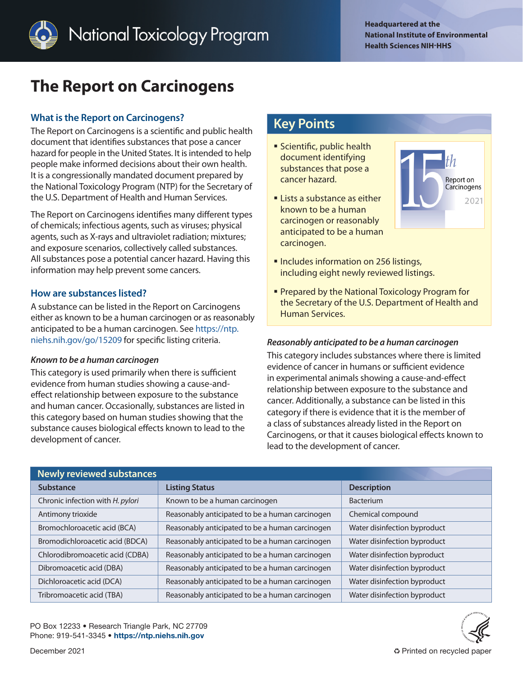

# **The Report on Carcinogens**

# **What is the Report on Carcinogens?**

The Report on Carcinogens is a scientific and public health document that identifies substances that pose a cancer hazard for people in the United States. It is intended to help people make informed decisions about their own health. It is a congressionally mandated document prepared by the National Toxicology Program (NTP) for the Secretary of the U.S. Department of Health and Human Services.

The Report on Carcinogens identifies many different types of chemicals; infectious agents, such as viruses; physical agents, such as X-rays and ultraviolet radiation; mixtures; and exposure scenarios, collectively called substances. All substances pose a potential cancer hazard. Having this information may help prevent some cancers.

# **How are substances listed?**

A substance can be listed in the Report on Carcinogens either as known to be a human carcinogen or as reasonably anticipated to be a human carcinogen. See [https://ntp.](https://ntp.niehs.nih.gov/go/15209) [niehs.nih.gov/go/15209](https://ntp.niehs.nih.gov/go/15209) for specific listing criteria.

#### *Known to be a human carcinogen*

This category is used primarily when there is sufficient evidence from human studies showing a cause-andeffect relationship between exposure to the substance and human cancer. Occasionally, substances are listed in this category based on human studies showing that the substance causes biological effects known to lead to the development of cancer.

# **Key Points**

- **Scientific, public health** document identifying substances that pose a cancer hazard.
- **Example 1** Lists a substance as either known to be a human carcinogen or reasonably anticipated to be a human carcinogen.



- **Includes information on 256 listings,** including eight newly reviewed listings.
- **Prepared by the National Toxicology Program for** the Secretary of the U.S. Department of Health and Human Services.

## *Reasonably anticipated to be a human carcinogen*

This category includes substances where there is limited evidence of cancer in humans or sufficient evidence in experimental animals showing a cause-and-effect relationship between exposure to the substance and cancer. Additionally, a substance can be listed in this category if there is evidence that it is the member of a class of substances already listed in the Report on Carcinogens, or that it causes biological effects known to lead to the development of cancer.

| Newly reviewed substances        |                                                 |                              |
|----------------------------------|-------------------------------------------------|------------------------------|
| <b>Substance</b>                 | <b>Listing Status</b>                           | <b>Description</b>           |
| Chronic infection with H. pylori | Known to be a human carcinogen                  | <b>Bacterium</b>             |
| Antimony trioxide                | Reasonably anticipated to be a human carcinogen | Chemical compound            |
| Bromochloroacetic acid (BCA)     | Reasonably anticipated to be a human carcinogen | Water disinfection byproduct |
| Bromodichloroacetic acid (BDCA)  | Reasonably anticipated to be a human carcinogen | Water disinfection byproduct |
| Chlorodibromoacetic acid (CDBA)  | Reasonably anticipated to be a human carcinogen | Water disinfection byproduct |
| Dibromoacetic acid (DBA)         | Reasonably anticipated to be a human carcinogen | Water disinfection byproduct |
| Dichloroacetic acid (DCA)        | Reasonably anticipated to be a human carcinogen | Water disinfection byproduct |
| Tribromoacetic acid (TBA)        | Reasonably anticipated to be a human carcinogen | Water disinfection byproduct |